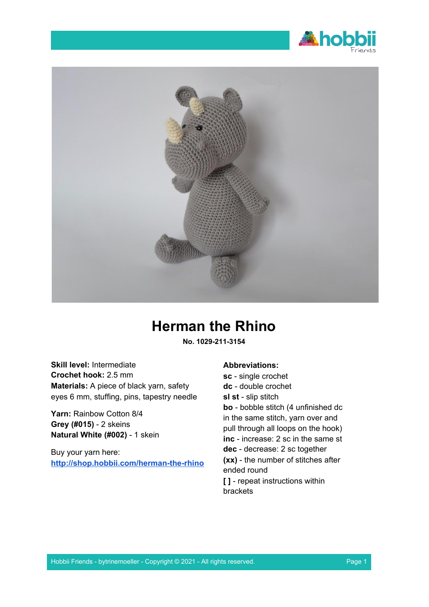



# **Herman the Rhino**

**No. 1029-211-3154**

**Skill level:** Intermediate **Crochet hook:** 2.5 mm **Materials:** A piece of black yarn, safety eyes 6 mm, stuffing, pins, tapestry needle

**Yarn:** Rainbow Cotton 8/4 **Grey (#015)** - 2 skeins **Natural White (#002)** - 1 skein

Buy your yarn here: **<http://shop.hobbii.com/herman-the-rhino>**

### **Abbreviations:**

**sc** - single crochet **dc** - double crochet **sl st** - slip stitch **bo** - bobble stitch (4 unfinished dc in the same stitch, yarn over and pull through all loops on the hook) **inc** - increase: 2 sc in the same st **dec** - decrease: 2 sc together **(xx)** - the number of stitches after ended round **[ ]** - repeat instructions within brackets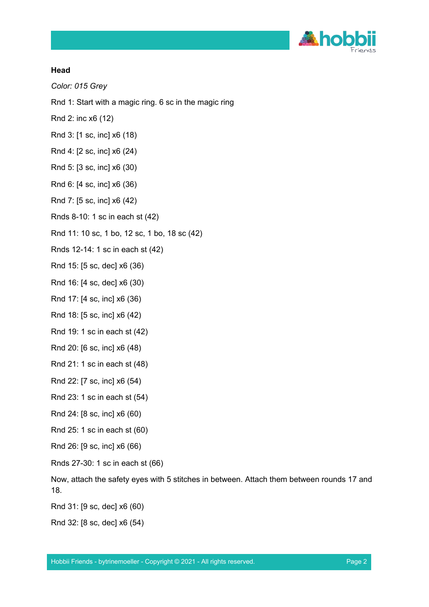

#### **Head**

*Color: 015 Grey*

- Rnd 1: Start with a magic ring. 6 sc in the magic ring
- Rnd 2: inc x6 (12)
- Rnd 3: [1 sc, inc] x6 (18)
- Rnd 4: [2 sc, inc] x6 (24)
- Rnd 5: [3 sc, inc] x6 (30)
- Rnd 6: [4 sc, inc] x6 (36)
- Rnd 7: [5 sc, inc] x6 (42)
- Rnds 8-10: 1 sc in each st (42)
- Rnd 11: 10 sc, 1 bo, 12 sc, 1 bo, 18 sc (42)
- Rnds 12-14: 1 sc in each st (42)
- Rnd 15: [5 sc, dec] x6 (36)
- Rnd 16: [4 sc, dec] x6 (30)
- Rnd 17: [4 sc, inc] x6 (36)
- Rnd 18: [5 sc, inc] x6 (42)
- Rnd 19: 1 sc in each st (42)
- Rnd 20: [6 sc, inc] x6 (48)
- Rnd 21: 1 sc in each st (48)
- Rnd 22: [7 sc, inc] x6 (54)
- Rnd 23: 1 sc in each st (54)
- Rnd 24: [8 sc, inc] x6 (60)
- Rnd 25: 1 sc in each st (60)
- Rnd 26: [9 sc, inc] x6 (66)
- Rnds 27-30: 1 sc in each st (66)
- Now, attach the safety eyes with 5 stitches in between. Attach them between rounds 17 and 18.
- Rnd 31: [9 sc, dec] x6 (60)
- Rnd 32: [8 sc, dec] x6 (54)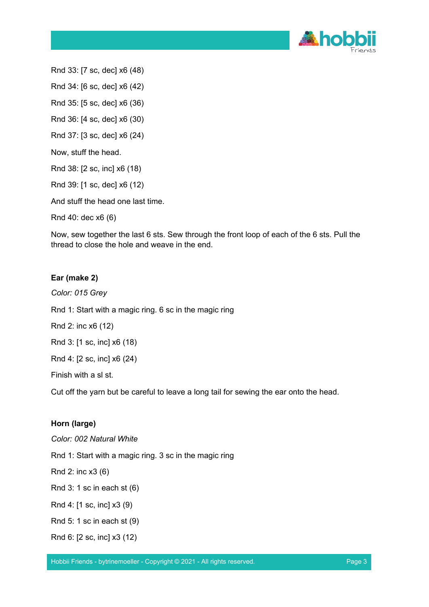

Rnd 33: [7 sc, dec] x6 (48)

Rnd 34: [6 sc, dec] x6 (42)

Rnd 35: [5 sc, dec] x6 (36)

Rnd 36: [4 sc, dec] x6 (30)

Rnd 37: [3 sc, dec] x6 (24)

Now, stuff the head.

Rnd 38: [2 sc, inc] x6 (18)

Rnd 39: [1 sc, dec] x6 (12)

And stuff the head one last time.

Rnd 40: dec x6 (6)

Now, sew together the last 6 sts. Sew through the front loop of each of the 6 sts. Pull the thread to close the hole and weave in the end.

### **Ear (make 2)**

*Color: 015 Grey* Rnd 1: Start with a magic ring. 6 sc in the magic ring

Rnd 2: inc x6 (12)

Rnd 3: [1 sc, inc] x6 (18)

Rnd 4: [2 sc, inc] x6 (24)

Finish with a sl st.

Cut off the yarn but be careful to leave a long tail for sewing the ear onto the head.

### **Horn (large)**

*Color: 002 Natural White*

Rnd 1: Start with a magic ring. 3 sc in the magic ring

Rnd 2: inc x3 (6)

Rnd 3: 1 sc in each st (6)

Rnd 4: [1 sc, inc] x3 (9)

Rnd 5: 1 sc in each st (9)

Rnd 6: [2 sc, inc] x3 (12)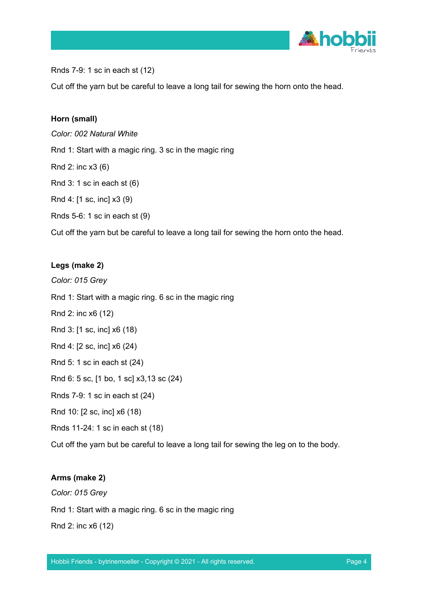

Rnds 7-9: 1 sc in each st (12)

Cut off the yarn but be careful to leave a long tail for sewing the horn onto the head.

#### **Horn (small)**

*Color: 002 Natural White*

Rnd 1: Start with a magic ring. 3 sc in the magic ring

Rnd 2: inc x3 (6)

Rnd 3: 1 sc in each st (6)

Rnd 4: [1 sc, inc] x3 (9)

Rnds 5-6: 1 sc in each st (9)

Cut off the yarn but be careful to leave a long tail for sewing the horn onto the head.

### **Legs (make 2)**

*Color: 015 Grey*

Rnd 1: Start with a magic ring. 6 sc in the magic ring

Rnd 2: inc x6 (12)

Rnd 3: [1 sc, inc] x6 (18)

Rnd 4: [2 sc, inc] x6 (24)

Rnd 5: 1 sc in each st (24)

Rnd 6: 5 sc, [1 bo, 1 sc] x3,13 sc (24)

Rnds 7-9: 1 sc in each st (24)

Rnd 10: [2 sc, inc] x6 (18)

Rnds 11-24: 1 sc in each st (18)

Cut off the yarn but be careful to leave a long tail for sewing the leg on to the body.

#### **Arms (make 2)**

*Color: 015 Grey* Rnd 1: Start with a magic ring. 6 sc in the magic ring Rnd 2: inc x6 (12)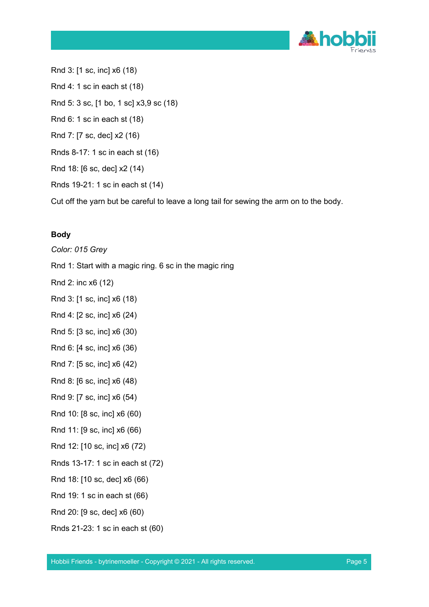

Rnd 3: [1 sc, inc] x6 (18) Rnd 4: 1 sc in each st (18) Rnd 5: 3 sc, [1 bo, 1 sc] x3,9 sc (18) Rnd 6: 1 sc in each st (18) Rnd 7: [7 sc, dec] x2 (16) Rnds 8-17: 1 sc in each st (16) Rnd 18: [6 sc, dec] x2 (14) Rnds 19-21: 1 sc in each st (14)

Cut off the yarn but be careful to leave a long tail for sewing the arm on to the body.

## **Body**

*Color: 015 Grey*

Rnd 1: Start with a magic ring. 6 sc in the magic ring

Rnd 2: inc x6 (12)

Rnd 3: [1 sc, inc] x6 (18)

- Rnd 4: [2 sc, inc] x6 (24)
- Rnd 5: [3 sc, inc] x6 (30)
- Rnd 6: [4 sc, inc] x6 (36)
- Rnd 7: [5 sc, inc] x6 (42)

Rnd 8: [6 sc, inc] x6 (48)

- Rnd 9: [7 sc, inc] x6 (54)
- Rnd 10: [8 sc, inc] x6 (60)

Rnd 11: [9 sc, inc] x6 (66)

- Rnd 12: [10 sc, inc] x6 (72)
- Rnds 13-17: 1 sc in each st (72)
- Rnd 18: [10 sc, dec] x6 (66)
- Rnd 19: 1 sc in each st (66)
- Rnd 20: [9 sc, dec] x6 (60)
- Rnds 21-23: 1 sc in each st (60)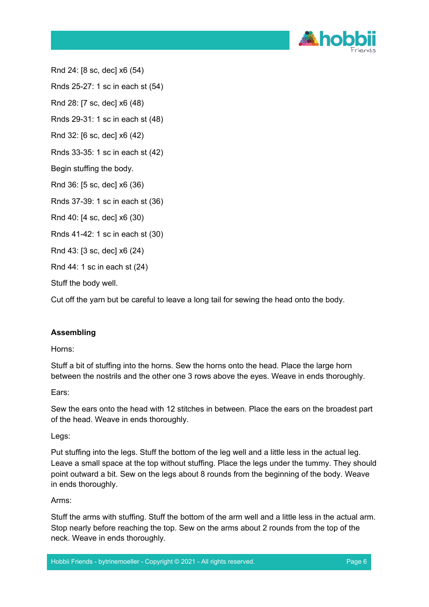

Rnd 24: [8 sc, dec] x6 (54)

Rnds 25-27: 1 sc in each st (54)

Rnd 28: [7 sc, dec] x6 (48)

Rnds 29-31: 1 sc in each st (48)

Rnd 32: [6 sc, dec] x6 (42)

Rnds 33-35: 1 sc in each st (42)

Begin stuffing the body.

Rnd 36: [5 sc, dec] x6 (36)

Rnds 37-39: 1 sc in each st (36)

Rnd 40: [4 sc, dec] x6 (30)

Rnds 41-42: 1 sc in each st (30)

Rnd 43: [3 sc, dec] x6 (24)

Rnd 44: 1 sc in each st (24)

Stuff the body well.

Cut off the yarn but be careful to leave a long tail for sewing the head onto the body.

### **Assembling**

Horns:

Stuff a bit of stuffing into the horns. Sew the horns onto the head. Place the large horn between the nostrils and the other one 3 rows above the eyes. Weave in ends thoroughly.

Ears:

Sew the ears onto the head with 12 stitches in between. Place the ears on the broadest part of the head. Weave in ends thoroughly.

Legs:

Put stuffing into the legs. Stuff the bottom of the leg well and a little less in the actual leg. Leave a small space at the top without stuffing. Place the legs under the tummy. They should point outward a bit. Sew on the legs about 8 rounds from the beginning of the body. Weave in ends thoroughly.

Arms:

Stuff the arms with stuffing. Stuff the bottom of the arm well and a little less in the actual arm. Stop nearly before reaching the top. Sew on the arms about 2 rounds from the top of the neck. Weave in ends thoroughly.